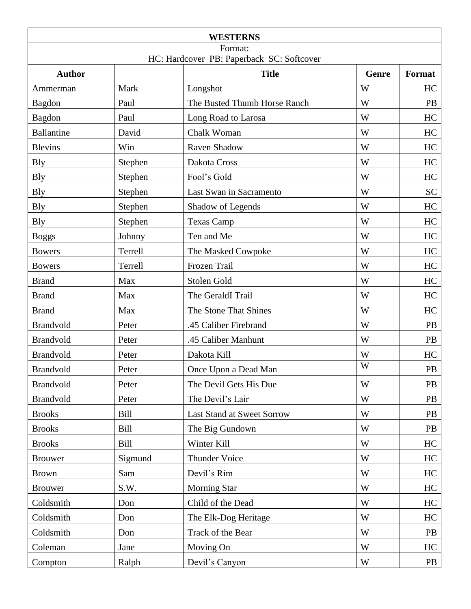| <b>WESTERNS</b><br>Format:<br>HC: Hardcover PB: Paperback SC: Softcover |             |                              |   |           |
|-------------------------------------------------------------------------|-------------|------------------------------|---|-----------|
|                                                                         |             |                              |   |           |
| Ammerman                                                                | Mark        | Longshot                     | W | HC        |
| Bagdon                                                                  | Paul        | The Busted Thumb Horse Ranch | W | PB        |
| Bagdon                                                                  | Paul        | Long Road to Larosa          | W | HC        |
| <b>Ballantine</b>                                                       | David       | Chalk Woman                  | W | HC        |
| <b>Blevins</b>                                                          | Win         | Raven Shadow                 | W | HC        |
| <b>Bly</b>                                                              | Stephen     | Dakota Cross                 | W | HC        |
| <b>Bly</b>                                                              | Stephen     | Fool's Gold                  | W | HC        |
| <b>Bly</b>                                                              | Stephen     | Last Swan in Sacramento      | W | <b>SC</b> |
| <b>B</b> ly                                                             | Stephen     | Shadow of Legends            | W | HC        |
| <b>Bly</b>                                                              | Stephen     | <b>Texas Camp</b>            | W | HC        |
| <b>Boggs</b>                                                            | Johnny      | Ten and Me                   | W | HC        |
| <b>Bowers</b>                                                           | Terrell     | The Masked Cowpoke           | W | HC        |
| <b>Bowers</b>                                                           | Terrell     | Frozen Trail                 | W | HC        |
| <b>Brand</b>                                                            | Max         | Stolen Gold                  | W | HC        |
| <b>Brand</b>                                                            | Max         | The GeraldI Trail            | W | HC        |
| <b>Brand</b>                                                            | Max         | The Stone That Shines        | W | HC        |
| <b>Brandvold</b>                                                        | Peter       | .45 Caliber Firebrand        | W | PB        |
| <b>Brandvold</b>                                                        | Peter       | .45 Caliber Manhunt          | W | PB        |
| <b>Brandvold</b>                                                        | Peter       | Dakota Kill                  | W | HC        |
| <b>Brandvold</b>                                                        | Peter       | Once Upon a Dead Man         | W | PB        |
| <b>Brandvold</b>                                                        | Peter       | The Devil Gets His Due       | W | PB        |
| <b>Brandvold</b>                                                        | Peter       | The Devil's Lair             | W | PB        |
| <b>Brooks</b>                                                           | Bill        | Last Stand at Sweet Sorrow   | W | PB        |
| <b>Brooks</b>                                                           | <b>Bill</b> | The Big Gundown              | W | PB        |
| <b>Brooks</b>                                                           | <b>Bill</b> | Winter Kill                  | W | HC        |
| <b>Brouwer</b>                                                          | Sigmund     | <b>Thunder Voice</b>         | W | HC        |
| <b>Brown</b>                                                            | Sam         | Devil's Rim                  | W | HC        |
| <b>Brouwer</b>                                                          | S.W.        | <b>Morning Star</b>          | W | HC        |
| Coldsmith                                                               | Don         | Child of the Dead            | W | HC        |
| Coldsmith                                                               | Don         | The Elk-Dog Heritage         | W | HC        |
| Coldsmith                                                               | Don         | Track of the Bear            | W | <b>PB</b> |
| Coleman                                                                 | Jane        | Moving On                    | W | HC        |
| Compton                                                                 | Ralph       | Devil's Canyon               | W | PB        |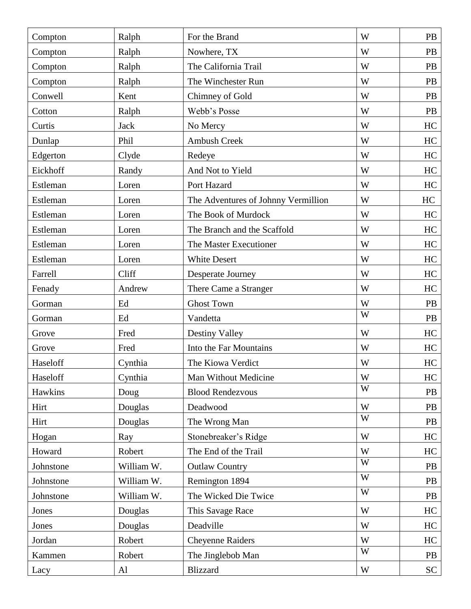| Compton   | Ralph       | For the Brand                       | W | PB        |
|-----------|-------------|-------------------------------------|---|-----------|
| Compton   | Ralph       | Nowhere, TX                         | W | PB        |
| Compton   | Ralph       | The California Trail                | W | PB        |
| Compton   | Ralph       | The Winchester Run                  | W | <b>PB</b> |
| Conwell   | Kent        | Chimney of Gold                     | W | PB        |
| Cotton    | Ralph       | Webb's Posse                        | W | PB        |
| Curtis    | <b>Jack</b> | No Mercy                            | W | HC        |
| Dunlap    | Phil        | <b>Ambush Creek</b>                 | W | HC        |
| Edgerton  | Clyde       | Redeye                              | W | HC        |
| Eickhoff  | Randy       | And Not to Yield                    | W | HC        |
| Estleman  | Loren       | Port Hazard                         | W | HC        |
| Estleman  | Loren       | The Adventures of Johnny Vermillion | W | HC        |
| Estleman  | Loren       | The Book of Murdock                 | W | HC        |
| Estleman  | Loren       | The Branch and the Scaffold         | W | HC        |
| Estleman  | Loren       | The Master Executioner              | W | HC        |
| Estleman  | Loren       | <b>White Desert</b>                 | W | HC        |
| Farrell   | Cliff       | Desperate Journey                   | W | HC        |
| Fenady    | Andrew      | There Came a Stranger               | W | HC        |
| Gorman    | Ed          | <b>Ghost Town</b>                   | W | PB        |
| Gorman    | Ed          | Vandetta                            | W | PB        |
| Grove     | Fred        | Destiny Valley                      | W | HC        |
| Grove     | Fred        | Into the Far Mountains              | W | HC        |
| Haseloff  | Cynthia     | The Kiowa Verdict                   | W | HC        |
| Haseloff  | Cynthia     | Man Without Medicine                | W | HC        |
| Hawkins   | Doug        | <b>Blood Rendezvous</b>             | W | PB        |
| Hirt      | Douglas     | Deadwood                            | W | PB        |
| Hirt      | Douglas     | The Wrong Man                       | W | PB        |
| Hogan     | Ray         | Stonebreaker's Ridge                | W | HC        |
| Howard    | Robert      | The End of the Trail                | W | HC        |
| Johnstone | William W.  | <b>Outlaw Country</b>               | W | <b>PB</b> |
| Johnstone | William W.  | Remington 1894                      | W | PB        |
| Johnstone | William W.  | The Wicked Die Twice                | W | PB        |
| Jones     | Douglas     | This Savage Race                    | W | HC        |
| Jones     | Douglas     | Deadville                           | W | HC        |
| Jordan    | Robert      | <b>Cheyenne Raiders</b>             | W | HC        |
| Kammen    | Robert      | The Jinglebob Man                   | W | <b>PB</b> |
| Lacy      | Al          | <b>Blizzard</b>                     | W | SC        |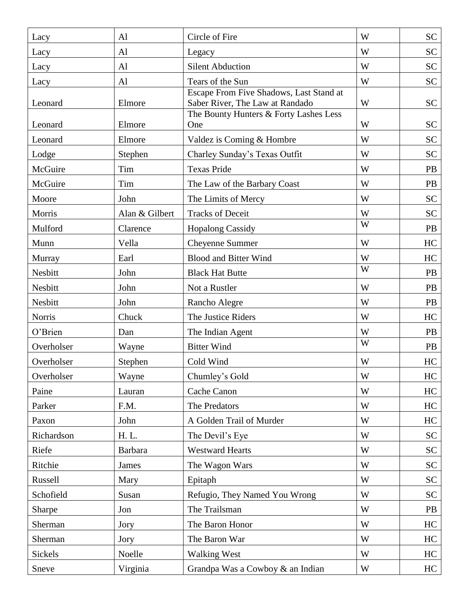| Lacy          | A <sub>1</sub> | Circle of Fire                                                             | W | <b>SC</b> |
|---------------|----------------|----------------------------------------------------------------------------|---|-----------|
| Lacy          | Al             | Legacy                                                                     | W | SC        |
| Lacy          | A <sub>1</sub> | <b>Silent Abduction</b>                                                    | W | <b>SC</b> |
| Lacy          | AI             | Tears of the Sun                                                           | W | <b>SC</b> |
| Leonard       | Elmore         | Escape From Five Shadows, Last Stand at<br>Saber River, The Law at Randado | W | <b>SC</b> |
| Leonard       | Elmore         | The Bounty Hunters & Forty Lashes Less<br>One                              | W | <b>SC</b> |
| Leonard       | Elmore         | Valdez is Coming & Hombre                                                  | W | <b>SC</b> |
| Lodge         | Stephen        | Charley Sunday's Texas Outfit                                              | W | <b>SC</b> |
| McGuire       | Tim            | <b>Texas Pride</b>                                                         | W | PB        |
| McGuire       | Tim            | The Law of the Barbary Coast                                               | W | PB        |
| Moore         | John           | The Limits of Mercy                                                        | W | SC        |
| Morris        | Alan & Gilbert | <b>Tracks of Deceit</b>                                                    | W | <b>SC</b> |
| Mulford       | Clarence       | <b>Hopalong Cassidy</b>                                                    | W | PB        |
| Munn          | Vella          | Cheyenne Summer                                                            | W | HC        |
| Murray        | Earl           | <b>Blood and Bitter Wind</b>                                               | W | HC        |
| Nesbitt       | John           | <b>Black Hat Butte</b>                                                     | W | <b>PB</b> |
| Nesbitt       | John           | Not a Rustler                                                              | W | <b>PB</b> |
| Nesbitt       | John           | Rancho Alegre                                                              | W | PB        |
| <b>Norris</b> | Chuck          | The Justice Riders                                                         | W | HC        |
| O'Brien       | Dan            | The Indian Agent                                                           | W | <b>PB</b> |
| Overholser    | Wayne          | <b>Bitter Wind</b>                                                         | W | <b>PB</b> |
| Overholser    | Stephen        | Cold Wind                                                                  | W | HC        |
| Overholser    | Wayne          | Chumley's Gold                                                             | W | HC        |
| Paine         | Lauran         | Cache Canon                                                                | W | HC        |
| Parker        | F.M.           | The Predators                                                              | W | HC        |
| Paxon         | John           | A Golden Trail of Murder                                                   | W | HC        |
| Richardson    | H. L.          | The Devil's Eye                                                            | W | <b>SC</b> |
| Riefe         | <b>Barbara</b> | <b>Westward Hearts</b>                                                     | W | <b>SC</b> |
| Ritchie       | James          | The Wagon Wars                                                             | W | SC        |
| Russell       | Mary           | Epitaph                                                                    | W | <b>SC</b> |
| Schofield     | Susan          | Refugio, They Named You Wrong                                              | W | <b>SC</b> |
| Sharpe        | Jon            | The Trailsman                                                              | W | PB        |
| Sherman       | Jory           | The Baron Honor                                                            | W | HC        |
| Sherman       | Jory           | The Baron War                                                              | W | HC        |
| Sickels       | Noelle         | <b>Walking West</b>                                                        | W | HC        |
| Sneve         | Virginia       | Grandpa Was a Cowboy & an Indian                                           | W | HC        |
|               |                |                                                                            |   |           |